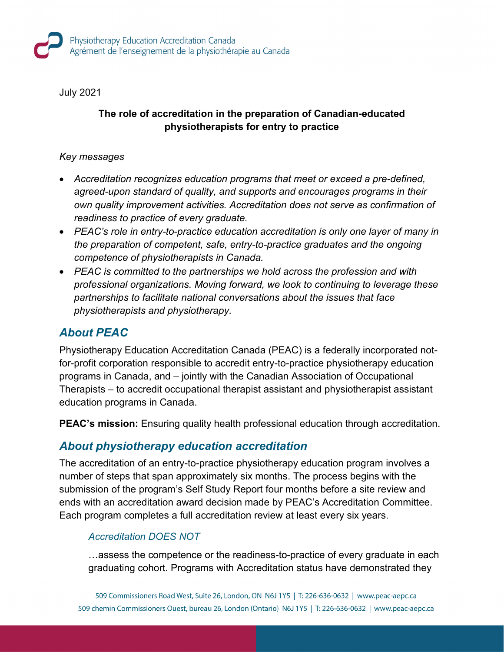July 2021

### **The role of accreditation in the preparation of Canadian-educated physiotherapists for entry to practice**

#### *Key messages*

- *Accreditation recognizes education programs that meet or exceed a pre-defined, agreed-upon standard of quality, and supports and encourages programs in their own quality improvement activities. Accreditation does not serve as confirmation of readiness to practice of every graduate.*
- *PEAC's role in entry-to-practice education accreditation is only one layer of many in the preparation of competent, safe, entry-to-practice graduates and the ongoing competence of physiotherapists in Canada.*
- *PEAC is committed to the partnerships we hold across the profession and with professional organizations. Moving forward, we look to continuing to leverage these partnerships to facilitate national conversations about the issues that face physiotherapists and physiotherapy.*

## *About PEAC*

Physiotherapy Education Accreditation Canada (PEAC) is a federally incorporated notfor-profit corporation responsible to accredit entry-to-practice physiotherapy education programs in Canada, and – jointly with the Canadian Association of Occupational Therapists – to accredit occupational therapist assistant and physiotherapist assistant education programs in Canada.

**PEAC's mission:** Ensuring quality health professional education through accreditation.

### *About physiotherapy education accreditation*

The accreditation of an entry-to-practice physiotherapy education program involves a number of steps that span approximately six months. The process begins with the submission of the program's Self Study Report four months before a site review and ends with an accreditation award decision made by PEAC's Accreditation Committee. Each program completes a full accreditation review at least every six years.

#### *Accreditation DOES NOT*

…assess the competence or the readiness-to-practice of every graduate in each graduating cohort. Programs with Accreditation status have demonstrated they